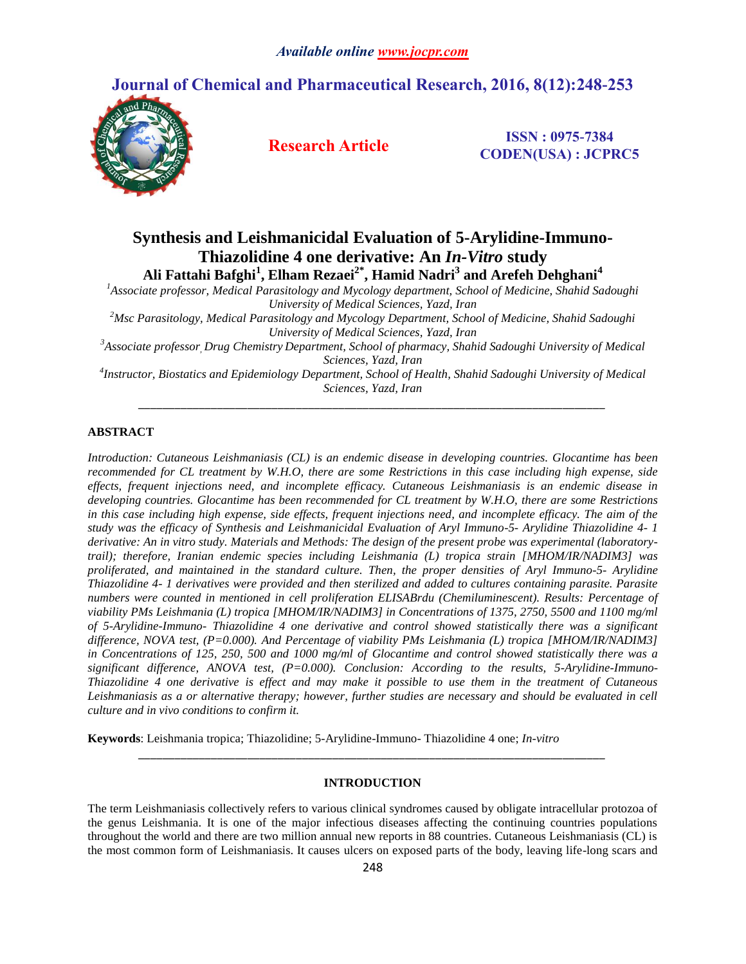# **Journal of Chemical and Pharmaceutical Research, 2016, 8(12):248-253**



**Research Article ISSN : 0975-7384 CODEN(USA) : JCPRC5**

# **Synthesis and Leishmanicidal Evaluation of 5-Arylidine-Immuno-Thiazolidine 4 one derivative: An** *In-Vitro* **study Ali Fattahi Bafghi<sup>1</sup> , Elham Rezaei2\* , Hamid Nadri<sup>3</sup> and Arefeh Dehghani<sup>4</sup>**

*<sup>1</sup>Associate professor, Medical Parasitology and Mycology department, School of Medicine, Shahid Sadoughi University of Medical Sciences, Yazd, Iran*

*<sup>2</sup>Msc Parasitology, Medical Parasitology and Mycology Department, School of Medicine, Shahid Sadoughi University of Medical Sciences, Yazd, Iran*

*<sup>3</sup>Associate professor, Drug Chemistry Department, School of pharmacy, Shahid Sadoughi University of Medical Sciences, Yazd, Iran*

*4 Instructor, Biostatics and Epidemiology Department, School of Health, Shahid Sadoughi University of Medical Sciences, Yazd, Iran \_\_\_\_\_\_\_\_\_\_\_\_\_\_\_\_\_\_\_\_\_\_\_\_\_\_\_\_\_\_\_\_\_\_\_\_\_\_\_\_\_\_\_\_\_\_\_\_\_\_\_\_\_\_\_\_\_\_\_\_\_\_\_\_\_\_\_\_\_\_\_\_\_\_\_\_\_*

# **ABSTRACT**

*Introduction: Cutaneous Leishmaniasis (CL) is an endemic disease in developing countries. Glocantime has been recommended for CL treatment by W.H.O, there are some Restrictions in this case including high expense, side effects, frequent injections need, and incomplete efficacy. Cutaneous Leishmaniasis is an endemic disease in developing countries. Glocantime has been recommended for CL treatment by W.H.O, there are some Restrictions in this case including high expense, side effects, frequent injections need, and incomplete efficacy. The aim of the study was the efficacy of Synthesis and Leishmanicidal Evaluation of Aryl Immuno-5- Arylidine Thiazolidine 4- 1 derivative: An in vitro study. Materials and Methods: The design of the present probe was experimental (laboratorytrail); therefore, Iranian endemic species including Leishmania (L) tropica strain [MHOM/IR/NADIM3] was proliferated, and maintained in the standard culture. Then, the proper densities of Aryl Immuno-5- Arylidine Thiazolidine 4- 1 derivatives were provided and then sterilized and added to cultures containing parasite. Parasite numbers were counted in mentioned in cell proliferation ELISABrdu (Chemiluminescent). Results: Percentage of viability PMs Leishmania (L) tropica [MHOM/IR/NADIM3] in Concentrations of 1375, 2750, 5500 and 1100 mg/ml of 5-Arylidine-Immuno- Thiazolidine 4 one derivative and control showed statistically there was a significant difference, NOVA test, (P=0.000). And Percentage of viability PMs Leishmania (L) tropica [MHOM/IR/NADIM3] in Concentrations of 125, 250, 500 and 1000 mg/ml of Glocantime and control showed statistically there was a significant difference, ANOVA test, (P=0.000). Conclusion: According to the results, 5-Arylidine-Immuno-Thiazolidine 4 one derivative is effect and may make it possible to use them in the treatment of Cutaneous*  Leishmaniasis as a or alternative therapy; however, further studies are necessary and should be evaluated in cell *culture and in vivo conditions to confirm it.*

**Keywords**: Leishmania tropica; Thiazolidine; 5-Arylidine-Immuno- Thiazolidine 4 one; *In-vitro*

# **INTRODUCTION**

*\_\_\_\_\_\_\_\_\_\_\_\_\_\_\_\_\_\_\_\_\_\_\_\_\_\_\_\_\_\_\_\_\_\_\_\_\_\_\_\_\_\_\_\_\_\_\_\_\_\_\_\_\_\_\_\_\_\_\_\_\_\_\_\_\_\_\_\_\_\_\_\_\_\_\_\_\_*

The term Leishmaniasis collectively refers to various clinical syndromes caused by obligate intracellular protozoa of the genus Leishmania. It is one of the major infectious diseases affecting the continuing countries populations throughout the world and there are two million annual new reports in 88 countries. Cutaneous Leishmaniasis (CL) is the most common form of Leishmaniasis. It causes ulcers on exposed parts of the body, leaving life-long scars and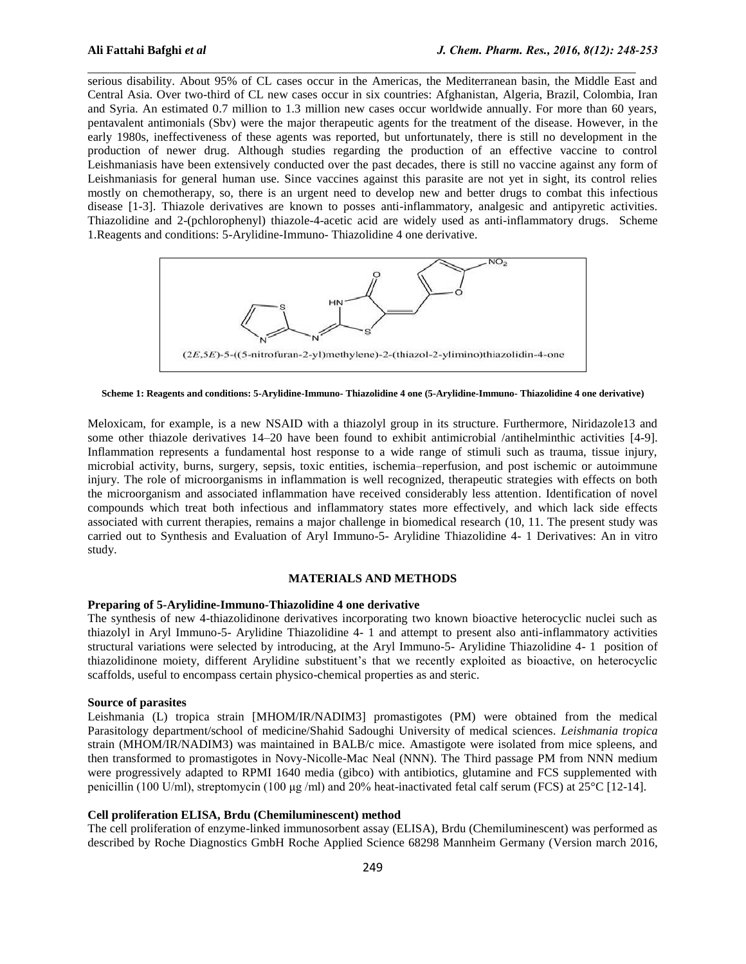serious disability. About 95% of CL cases occur in the Americas, the Mediterranean basin, the Middle East and Central Asia. Over two-third of CL new cases occur in six countries: Afghanistan, Algeria, Brazil, Colombia, Iran and Syria. An estimated 0.7 million to 1.3 million new cases occur worldwide annually. For more than 60 years, pentavalent antimonials (Sbv) were the major therapeutic agents for the treatment of the disease. However, in the early 1980s, ineffectiveness of these agents was reported, but unfortunately, there is still no development in the production of newer drug. Although studies regarding the production of an effective vaccine to control Leishmaniasis have been extensively conducted over the past decades, there is still no vaccine against any form of Leishmaniasis for general human use. Since vaccines against this parasite are not yet in sight, its control relies mostly on chemotherapy, so, there is an urgent need to develop new and better drugs to combat this infectious disease [1-3]. Thiazole derivatives are known to posses anti-inflammatory, analgesic and antipyretic activities. Thiazolidine and 2-(pchlorophenyl) thiazole-4-acetic acid are widely used as anti-inflammatory drugs. Scheme 1.Reagents and conditions: 5-Arylidine-Immuno- Thiazolidine 4 one derivative.

 $\mathcal{L}_\mathcal{L} = \{ \mathcal{L}_\mathcal{L} = \{ \mathcal{L}_\mathcal{L} = \{ \mathcal{L}_\mathcal{L} = \{ \mathcal{L}_\mathcal{L} = \{ \mathcal{L}_\mathcal{L} = \{ \mathcal{L}_\mathcal{L} = \{ \mathcal{L}_\mathcal{L} = \{ \mathcal{L}_\mathcal{L} = \{ \mathcal{L}_\mathcal{L} = \{ \mathcal{L}_\mathcal{L} = \{ \mathcal{L}_\mathcal{L} = \{ \mathcal{L}_\mathcal{L} = \{ \mathcal{L}_\mathcal{L} = \{ \mathcal{L}_\mathcal{$ 



**Scheme 1: Reagents and conditions: 5-Arylidine-Immuno- Thiazolidine 4 one (5-Arylidine-Immuno- Thiazolidine 4 one derivative)**

Meloxicam, for example, is a new NSAID with a thiazolyl group in its structure. Furthermore, Niridazole13 and some other thiazole derivatives 14–20 have been found to exhibit antimicrobial /antihelminthic activities [4-9]. Inflammation represents a fundamental host response to a wide range of stimuli such as trauma, tissue injury, microbial activity, burns, surgery, sepsis, toxic entities, ischemia–reperfusion, and post ischemic or autoimmune injury. The role of microorganisms in inflammation is well recognized, therapeutic strategies with effects on both the microorganism and associated inflammation have received considerably less attention. Identification of novel compounds which treat both infectious and inflammatory states more effectively, and which lack side effects associated with current therapies, remains a major challenge in biomedical research (10, 11. The present study was carried out to Synthesis and Evaluation of Aryl Immuno-5- Arylidine Thiazolidine 4- 1 Derivatives: An in vitro study.

#### **MATERIALS AND METHODS**

# **Preparing of 5-Arylidine-Immuno-Thiazolidine 4 one derivative**

The synthesis of new 4-thiazolidinone derivatives incorporating two known bioactive heterocyclic nuclei such as thiazolyl in Aryl Immuno-5- Arylidine Thiazolidine 4- 1 and attempt to present also anti-inflammatory activities structural variations were selected by introducing, at the Aryl Immuno-5- Arylidine Thiazolidine 4- 1 position of thiazolidinone moiety, different Arylidine substituent's that we recently exploited as bioactive, on heterocyclic scaffolds, useful to encompass certain physico-chemical properties as and steric.

## **Source of parasites**

Leishmania (L) tropica strain [MHOM/IR/NADIM3] promastigotes (PM) were obtained from the medical Parasitology department/school of medicine/Shahid Sadoughi University of medical sciences. *Leishmania tropica* strain (MHOM/IR/NADIM3) was maintained in BALB/c mice. Amastigote were isolated from mice spleens, and then transformed to promastigotes in Novy-Nicolle-Mac Neal (NNN). The Third passage PM from NNN medium were progressively adapted to RPMI 1640 media (gibco) with antibiotics, glutamine and FCS supplemented with penicillin (100 U/ml), streptomycin (100 μg /ml) and 20% heat-inactivated fetal calf serum (FCS) at 25°C [12-14].

#### **Cell proliferation ELISA, Brdu (Chemiluminescent) method**

The cell proliferation of enzyme-linked immunosorbent assay (ELISA), Brdu (Chemiluminescent) was performed as described by Roche Diagnostics GmbH Roche Applied Science 68298 Mannheim Germany (Version march 2016,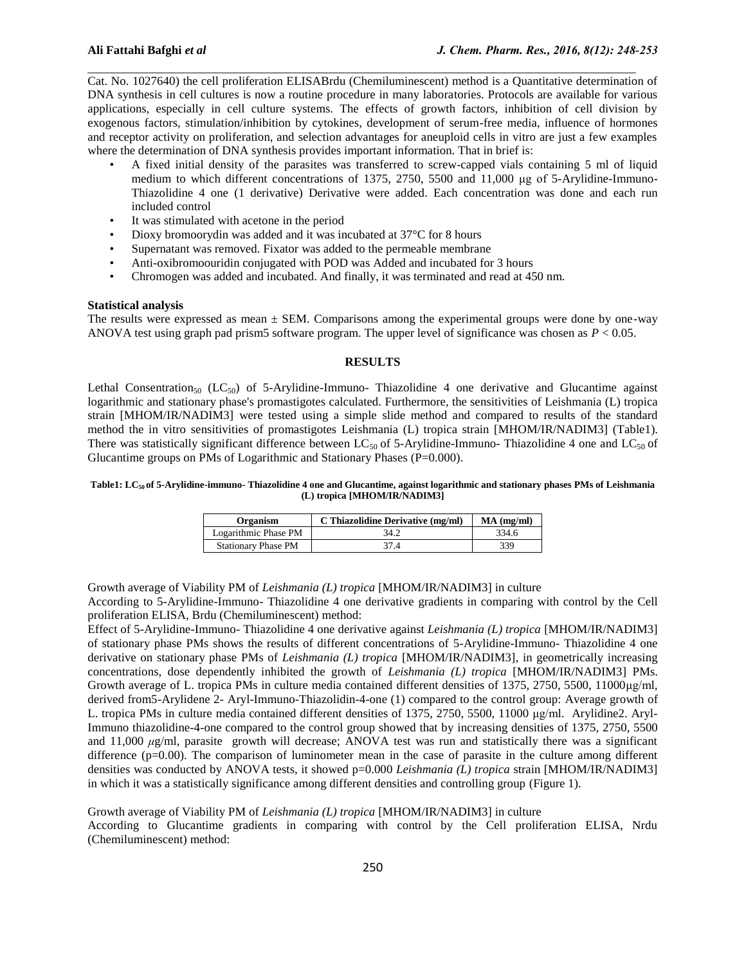Cat. No. 1027640) the cell proliferation ELISABrdu (Chemiluminescent) method is a Quantitative determination of DNA synthesis in cell cultures is now a routine procedure in many laboratories. Protocols are available for various applications, especially in cell culture systems. The effects of growth factors, inhibition of cell division by exogenous factors, stimulation/inhibition by cytokines, development of serum-free media, influence of hormones and receptor activity on proliferation, and selection advantages for aneuploid cells in vitro are just a few examples where the determination of DNA synthesis provides important information. That in brief is:

 $\mathcal{L}_\mathcal{L} = \{ \mathcal{L}_\mathcal{L} = \{ \mathcal{L}_\mathcal{L} = \{ \mathcal{L}_\mathcal{L} = \{ \mathcal{L}_\mathcal{L} = \{ \mathcal{L}_\mathcal{L} = \{ \mathcal{L}_\mathcal{L} = \{ \mathcal{L}_\mathcal{L} = \{ \mathcal{L}_\mathcal{L} = \{ \mathcal{L}_\mathcal{L} = \{ \mathcal{L}_\mathcal{L} = \{ \mathcal{L}_\mathcal{L} = \{ \mathcal{L}_\mathcal{L} = \{ \mathcal{L}_\mathcal{L} = \{ \mathcal{L}_\mathcal{$ 

- A fixed initial density of the parasites was transferred to screw-capped vials containing 5 ml of liquid medium to which different concentrations of 1375, 2750, 5500 and 11,000 μg of 5-Arylidine-Immuno-Thiazolidine 4 one (1 derivative) Derivative were added. Each concentration was done and each run included control
- It was stimulated with acetone in the period
- Dioxy bromoorydin was added and it was incubated at 37°C for 8 hours
- Supernatant was removed. Fixator was added to the permeable membrane
- Anti-oxibromoouridin conjugated with POD was Added and incubated for 3 hours
- Chromogen was added and incubated. And finally, it was terminated and read at 450 nm.

#### **Statistical analysis**

The results were expressed as mean  $\pm$  SEM. Comparisons among the experimental groups were done by one-way ANOVA test using graph pad prism5 software program. The upper level of significance was chosen as *P* < 0.05.

# **RESULTS**

Lethal Consentration<sub>50</sub> (LC<sub>50</sub>) of 5-Arylidine-Immuno- Thiazolidine 4 one derivative and Glucantime against logarithmic and stationary phase's promastigotes calculated. Furthermore, the sensitivities of Leishmania (L) tropica strain [MHOM/IR/NADIM3] were tested using a simple slide method and compared to results of the standard method the in vitro sensitivities of promastigotes Leishmania (L) tropica strain [MHOM/IR/NADIM3] (Table1). There was statistically significant difference between LC<sub>50</sub> of 5-Arylidine-Immuno- Thiazolidine 4 one and LC<sub>50</sub> of Glucantime groups on PMs of Logarithmic and Stationary Phases (P=0.000).

#### **Table1: LC50 of 5-Arylidine-immuno- Thiazolidine 4 one and Glucantime, against logarithmic and stationary phases PMs of Leishmania (L) tropica [MHOM/IR/NADIM3]**

| Organism                   | C Thiazolidine Derivative (mg/ml) | $MA$ (mg/ml) |
|----------------------------|-----------------------------------|--------------|
| Logarithmic Phase PM       | 34.2                              | 334.6        |
| <b>Stationary Phase PM</b> | 37.4                              | 339          |

Growth average of Viability PM of *Leishmania (L) tropica* [MHOM/IR/NADIM3] in culture According to 5-Arylidine-Immuno- Thiazolidine 4 one derivative gradients in comparing with control by the Cell proliferation ELISA, Brdu (Chemiluminescent) method:

Effect of 5-Arylidine-Immuno- Thiazolidine 4 one derivative against *Leishmania (L) tropica* [MHOM/IR/NADIM3] of stationary phase PMs shows the results of different concentrations of 5-Arylidine-Immuno- Thiazolidine 4 one derivative on stationary phase PMs of *Leishmania (L) tropica* [MHOM/IR/NADIM3], in geometrically increasing concentrations, dose dependently inhibited the growth of *Leishmania (L) tropica* [MHOM/IR/NADIM3] PMs. Growth average of L. tropica PMs in culture media contained different densities of 1375, 2750, 5500, 11000μg/ml, derived from5-Arylidene 2- Aryl-Immuno-Thiazolidin-4-one (1) compared to the control group: Average growth of L. tropica PMs in culture media contained different densities of 1375, 2750, 5500, 11000 μg/ml. Arylidine2. Aryl-Immuno thiazolidine-4-one compared to the control group showed that by increasing densities of 1375, 2750, 5500 and 11,000 *μ*g/ml, parasite growth will decrease; ANOVA test was run and statistically there was a significant difference (p=0.00). The comparison of luminometer mean in the case of parasite in the culture among different densities was conducted by ANOVA tests, it showed p=0.000 *Leishmania (L) tropica* strain [MHOM/IR/NADIM3] in which it was a statistically significance among different densities and controlling group (Figure 1).

# Growth average of Viability PM of *Leishmania (L) tropica* [MHOM/IR/NADIM3] in culture

According to Glucantime gradients in comparing with control by the Cell proliferation ELISA, Nrdu (Chemiluminescent) method: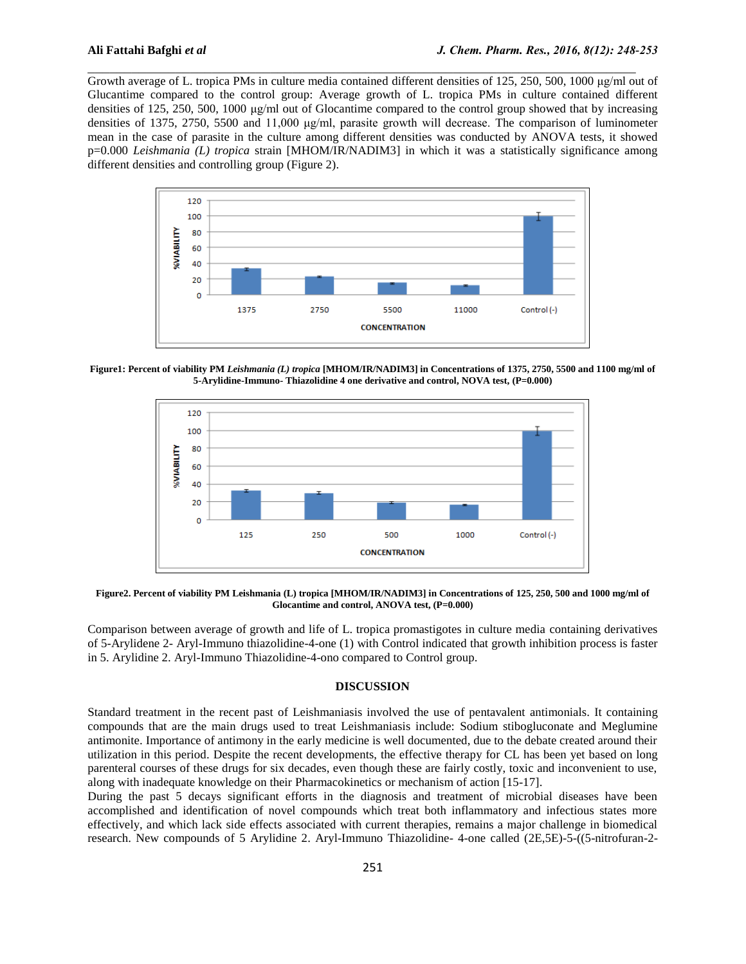Growth average of L. tropica PMs in culture media contained different densities of 125, 250, 500, 1000 μg/ml out of Glucantime compared to the control group: Average growth of L. tropica PMs in culture contained different densities of 125, 250, 500, 1000 μg/ml out of Glocantime compared to the control group showed that by increasing densities of 1375, 2750, 5500 and 11,000 μg/ml, parasite growth will decrease. The comparison of luminometer mean in the case of parasite in the culture among different densities was conducted by ANOVA tests, it showed p=0.000 *Leishmania (L) tropica* strain [MHOM/IR/NADIM3] in which it was a statistically significance among different densities and controlling group (Figure 2).

 $\mathcal{L}_\mathcal{L} = \{ \mathcal{L}_\mathcal{L} = \{ \mathcal{L}_\mathcal{L} = \{ \mathcal{L}_\mathcal{L} = \{ \mathcal{L}_\mathcal{L} = \{ \mathcal{L}_\mathcal{L} = \{ \mathcal{L}_\mathcal{L} = \{ \mathcal{L}_\mathcal{L} = \{ \mathcal{L}_\mathcal{L} = \{ \mathcal{L}_\mathcal{L} = \{ \mathcal{L}_\mathcal{L} = \{ \mathcal{L}_\mathcal{L} = \{ \mathcal{L}_\mathcal{L} = \{ \mathcal{L}_\mathcal{L} = \{ \mathcal{L}_\mathcal{$ 



**Figure1: Percent of viability PM** *Leishmania (L) tropica* **[MHOM/IR/NADIM3] in Concentrations of 1375, 2750, 5500 and 1100 mg/ml of 5-Arylidine-Immuno- Thiazolidine 4 one derivative and control, NOVA test, (P=0.000)**



**Figure2. Percent of viability PM Leishmania (L) tropica [MHOM/IR/NADIM3] in Concentrations of 125, 250, 500 and 1000 mg/ml of Glocantime and control, ANOVA test, (P=0.000)**

Comparison between average of growth and life of L. tropica promastigotes in culture media containing derivatives of 5-Arylidene 2- Aryl-Immuno thiazolidine-4-one (1) with Control indicated that growth inhibition process is faster in 5. Arylidine 2. Aryl-Immuno Thiazolidine-4-ono compared to Control group.

### **DISCUSSION**

Standard treatment in the recent past of Leishmaniasis involved the use of pentavalent antimonials. It containing compounds that are the main drugs used to treat Leishmaniasis include: Sodium stibogluconate and Meglumine antimonite. Importance of antimony in the early medicine is well documented, due to the debate created around their utilization in this period. Despite the recent developments, the effective therapy for CL has been yet based on long parenteral courses of these drugs for six decades, even though these are fairly costly, toxic and inconvenient to use, along with inadequate knowledge on their Pharmacokinetics or mechanism of action [15-17].

During the past 5 decays significant efforts in the diagnosis and treatment of microbial diseases have been accomplished and identification of novel compounds which treat both inflammatory and infectious states more effectively, and which lack side effects associated with current therapies, remains a major challenge in biomedical research. New compounds of 5 Arylidine 2. Aryl-Immuno Thiazolidine- 4-one called (2E,5E)-5-((5-nitrofuran-2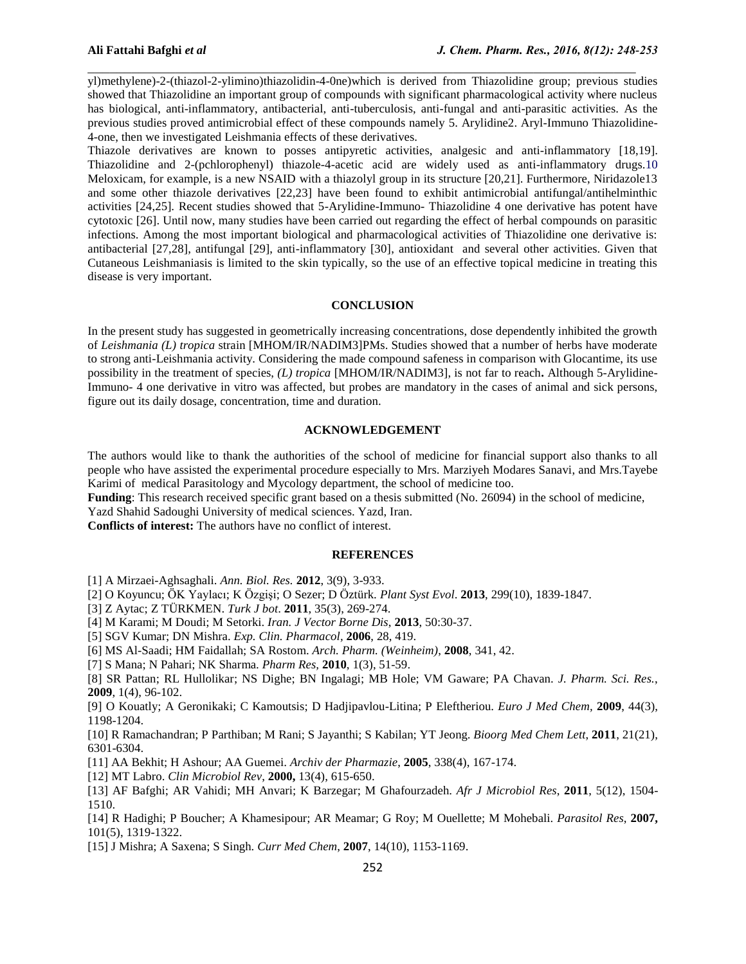yl)methylene)-2-(thiazol-2-ylimino)thiazolidin-4-0ne)which is derived from Thiazolidine group; previous studies showed that Thiazolidine an important group of compounds with significant pharmacological activity where nucleus has biological, anti-inflammatory, antibacterial, anti-tuberculosis, anti-fungal and anti-parasitic activities. As the previous studies proved antimicrobial effect of these compounds namely 5. Arylidine2. Aryl-Immuno Thiazolidine-4-one, then we investigated Leishmania effects of these derivatives.

 $\mathcal{L}_\mathcal{L} = \{ \mathcal{L}_\mathcal{L} = \{ \mathcal{L}_\mathcal{L} = \{ \mathcal{L}_\mathcal{L} = \{ \mathcal{L}_\mathcal{L} = \{ \mathcal{L}_\mathcal{L} = \{ \mathcal{L}_\mathcal{L} = \{ \mathcal{L}_\mathcal{L} = \{ \mathcal{L}_\mathcal{L} = \{ \mathcal{L}_\mathcal{L} = \{ \mathcal{L}_\mathcal{L} = \{ \mathcal{L}_\mathcal{L} = \{ \mathcal{L}_\mathcal{L} = \{ \mathcal{L}_\mathcal{L} = \{ \mathcal{L}_\mathcal{$ 

Thiazole derivatives are known to posses antipyretic activities, analgesic and anti-inflammatory [18,19]. Thiazolidine and 2-(pchlorophenyl) thiazole-4-acetic acid are widely used as anti-inflammatory drugs.10 Meloxicam, for example, is a new NSAID with a thiazolyl group in its structure [20,21]. Furthermore, Niridazole13 and some other thiazole derivatives [22,23] have been found to exhibit antimicrobial antifungal/antihelminthic activities [24,25]. Recent studies showed that 5-Arylidine-Immuno- Thiazolidine 4 one derivative has potent have cytotoxic [26]. Until now, many studies have been carried out regarding the effect of herbal compounds on parasitic infections. Among the most important biological and pharmacological activities of Thiazolidine one derivative is: antibacterial [27,28], antifungal [29], anti-inflammatory [30], antioxidant and several other activities. Given that Cutaneous Leishmaniasis is limited to the skin typically, so the use of an effective topical medicine in treating this disease is very important.

#### **CONCLUSION**

In the present study has suggested in geometrically increasing concentrations, dose dependently inhibited the growth of *Leishmania (L) tropica* strain [MHOM/IR/NADIM3]PMs. Studies showed that a number of herbs have moderate to strong anti-Leishmania activity. Considering the made compound safeness in comparison with Glocantime, its use possibility in the treatment of species, *(L) tropica* [MHOM/IR/NADIM3], is not far to reach**.** Although 5-Arylidine-Immuno- 4 one derivative in vitro was affected, but probes are mandatory in the cases of animal and sick persons, figure out its daily dosage, concentration, time and duration.

# **ACKNOWLEDGEMENT**

The authors would like to thank the authorities of the school of medicine for financial support also thanks to all people who have assisted the experimental procedure especially to Mrs. Marziyeh Modares Sanavi, and Mrs.Tayebe Karimi of medical Parasitology and Mycology department, the school of medicine too.

**Funding**: This research received specific grant based on a thesis submitted (No. 26094) in the school of medicine,

Yazd Shahid Sadoughi University of medical sciences. Yazd, Iran.

**Conflicts of interest:** The authors have no conflict of interest.

### **REFERENCES**

- [1] A Mirzaei-Aghsaghali. *Ann. Biol. Res.* **2012**, 3(9), 3-933.
- [2] O Koyuncu; ÖK Yaylacı; K Özgişi; O Sezer; D Öztürk. *Plant Syst Evol*. **2013**, 299(10), 1839-1847.
- [3] Z Aytac; Z TÜRKMEN. *Turk J bot*. **2011**, 35(3), 269-274.
- [4] M Karami; M Doudi; M Setorki. *Iran. J Vector Borne Dis*, **2013**, 50:30-37.
- [5] SGV Kumar; DN Mishra. *Exp. Clin. Pharmacol,* **2006**, 28, 419.
- [6] MS Al-Saadi; HM Faidallah; SA Rostom. *Arch. Pharm. (Weinheim)*, **2008**, 341, 42.
- [7] S Mana; N Pahari; NK Sharma. *Pharm Res,* **2010**, 1(3), 51-59.

[8] SR Pattan; RL Hullolikar; NS Dighe; BN Ingalagi; MB Hole; VM Gaware; PA Chavan. *J. Pharm. Sci. Res.*, **2009**, 1(4), 96-102.

[9] O Kouatly; A Geronikaki; C Kamoutsis; D Hadjipavlou-Litina; P Eleftheriou. *Euro J Med Chem,* **2009**, 44(3), 1198-1204.

[10] R Ramachandran; P Parthiban; M Rani; S Jayanthi; S Kabilan; YT Jeong. *Bioorg Med Chem Lett*, **2011**, 21(21), 6301-6304.

[11] AA Bekhit; H Ashour; AA Guemei. *Archiv der Pharmazie*, **2005**, 338(4), 167-174.

- [12] MT Labro. *Clin Microbiol Rev*, **2000,** 13(4), 615-650.
- [13] AF Bafghi; AR Vahidi; MH Anvari; K Barzegar; M Ghafourzadeh. *Afr J Microbiol Res*, **2011**, 5(12), 1504- 1510.

[14] R Hadighi; P Boucher; A Khamesipour; AR Meamar; G Roy; M Ouellette; M Mohebali. *Parasitol Res*, **2007,** 101(5), 1319-1322.

[15] J Mishra; A Saxena; S Singh. *Curr Med Chem*, **2007**, 14(10), 1153-1169.